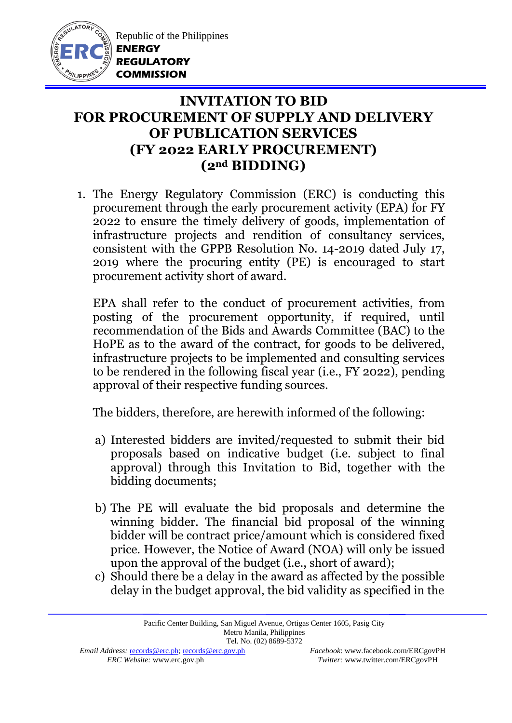

Republic of the Philippines **ENERGY REGULATORY COMMISSION**

## **INVITATION TO BID FOR PROCUREMENT OF SUPPLY AND DELIVERY OF PUBLICATION SERVICES (FY 2022 EARLY PROCUREMENT) (2nd BIDDING)**

1. The Energy Regulatory Commission (ERC) is conducting this procurement through the early procurement activity (EPA) for FY 2022 to ensure the timely delivery of goods, implementation of infrastructure projects and rendition of consultancy services, consistent with the GPPB Resolution No. 14-2019 dated July 17, 2019 where the procuring entity (PE) is encouraged to start procurement activity short of award.

EPA shall refer to the conduct of procurement activities, from posting of the procurement opportunity, if required, until recommendation of the Bids and Awards Committee (BAC) to the HoPE as to the award of the contract, for goods to be delivered, infrastructure projects to be implemented and consulting services to be rendered in the following fiscal year (i.e., FY 2022), pending approval of their respective funding sources.

The bidders, therefore, are herewith informed of the following:

- a) Interested bidders are invited/requested to submit their bid proposals based on indicative budget (i.e. subject to final approval) through this Invitation to Bid, together with the bidding documents;
- b) The PE will evaluate the bid proposals and determine the winning bidder. The financial bid proposal of the winning bidder will be contract price/amount which is considered fixed price. However, the Notice of Award (NOA) will only be issued upon the approval of the budget (i.e., short of award);
- c) Should there be a delay in the award as affected by the possible delay in the budget approval, the bid validity as specified in the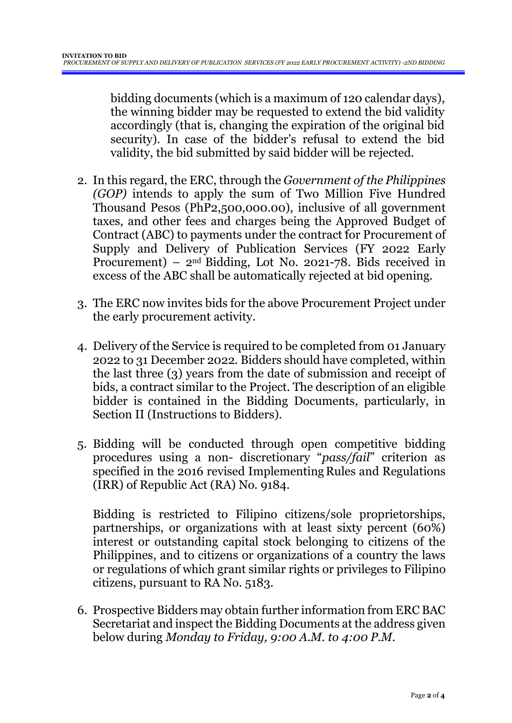bidding documents (which is a maximum of 120 calendar days), the winning bidder may be requested to extend the bid validity accordingly (that is, changing the expiration of the original bid security). In case of the bidder's refusal to extend the bid validity, the bid submitted by said bidder will be rejected.

- 2. In this regard, the ERC, through the *Government of the Philippines (GOP)* intends to apply the sum of Two Million Five Hundred Thousand Pesos (PhP2,500,000.00), inclusive of all government taxes, and other fees and charges being the Approved Budget of Contract (ABC) to payments under the contract for Procurement of Supply and Delivery of Publication Services (FY 2022 Early Procurement) – 2nd Bidding, Lot No. 2021-78. Bids received in excess of the ABC shall be automatically rejected at bid opening.
- 3. The ERC now invites bids for the above Procurement Project under the early procurement activity.
- 4. Delivery of the Service is required to be completed from 01 January 2022 to 31 December 2022*.* Bidders should have completed, within the last three (3) years from the date of submission and receipt of bids, a contract similar to the Project. The description of an eligible bidder is contained in the Bidding Documents, particularly, in Section II (Instructions to Bidders).
- 5. Bidding will be conducted through open competitive bidding procedures using a non- discretionary "*pass/fail*" criterion as specified in the 2016 revised Implementing Rules and Regulations (IRR) of Republic Act (RA) No. 9184.

Bidding is restricted to Filipino citizens/sole proprietorships, partnerships, or organizations with at least sixty percent (60%) interest or outstanding capital stock belonging to citizens of the Philippines, and to citizens or organizations of a country the laws or regulations of which grant similar rights or privileges to Filipino citizens, pursuant to RA No. 5183.

6. Prospective Bidders may obtain further information from ERC BAC Secretariat and inspect the Bidding Documents at the address given below during *Monday to Friday, 9:00 A.M. to 4:00 P.M*.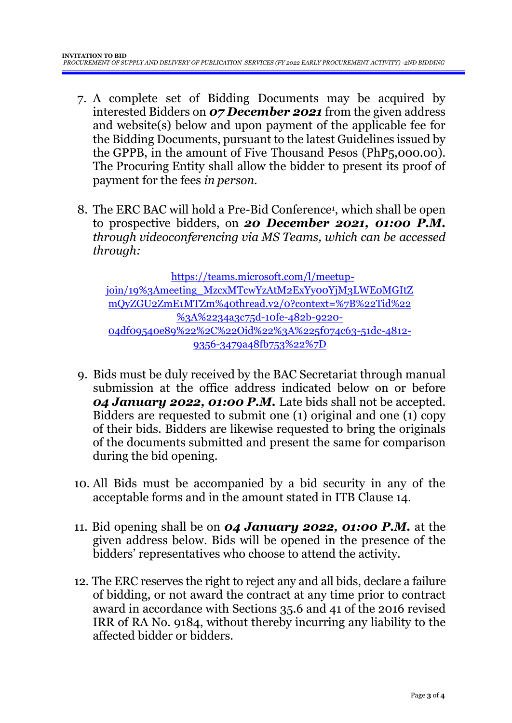- 7. A complete set of Bidding Documents may be acquired by interested Bidders on *07 December 2021* from the given address and website(s) below and upon payment of the applicable fee for the Bidding Documents, pursuant to the latest Guidelines issued by the GPPB, in the amount of Five Thousand Pesos (PhP5,000.00). The Procuring Entity shall allow the bidder to present its proof of payment for the fees *in person.*
- 8. The ERC BAC will hold a Pre-Bid Conference<sup>1</sup>, which shall be open to prospective bidders, on *20 December 2021, 01:00 P.M. through videoconferencing via MS Teams, which can be accessed through:*

[https://teams.microsoft.com/l/meetup](https://teams.microsoft.com/l/meetup-join/19%3Ameeting_MzcxMTcwYzAtM2ExYy00YjM3LWE0MGItZmQyZGU2ZmE1MTZm%40thread.v2/0?context=%7B%22Tid%22%3A%2234a3c75d-10fe-482b-9220-04df09540e89%22%2C%22Oid%22%3A%225f074c63-51dc-4812-9356-3479a48fb753%22%7D)[join/19%3Ameeting\\_MzcxMTcwYzAtM2ExYy00YjM3LWE0MGItZ](https://teams.microsoft.com/l/meetup-join/19%3Ameeting_MzcxMTcwYzAtM2ExYy00YjM3LWE0MGItZmQyZGU2ZmE1MTZm%40thread.v2/0?context=%7B%22Tid%22%3A%2234a3c75d-10fe-482b-9220-04df09540e89%22%2C%22Oid%22%3A%225f074c63-51dc-4812-9356-3479a48fb753%22%7D) [mQyZGU2ZmE1MTZm%40thread.v2/0?context=%7B%22Tid%22](https://teams.microsoft.com/l/meetup-join/19%3Ameeting_MzcxMTcwYzAtM2ExYy00YjM3LWE0MGItZmQyZGU2ZmE1MTZm%40thread.v2/0?context=%7B%22Tid%22%3A%2234a3c75d-10fe-482b-9220-04df09540e89%22%2C%22Oid%22%3A%225f074c63-51dc-4812-9356-3479a48fb753%22%7D) [%3A%2234a3c75d-10fe-482b-9220-](https://teams.microsoft.com/l/meetup-join/19%3Ameeting_MzcxMTcwYzAtM2ExYy00YjM3LWE0MGItZmQyZGU2ZmE1MTZm%40thread.v2/0?context=%7B%22Tid%22%3A%2234a3c75d-10fe-482b-9220-04df09540e89%22%2C%22Oid%22%3A%225f074c63-51dc-4812-9356-3479a48fb753%22%7D) [04df09540e89%22%2C%22Oid%22%3A%225f074c63-51dc-4812-](https://teams.microsoft.com/l/meetup-join/19%3Ameeting_MzcxMTcwYzAtM2ExYy00YjM3LWE0MGItZmQyZGU2ZmE1MTZm%40thread.v2/0?context=%7B%22Tid%22%3A%2234a3c75d-10fe-482b-9220-04df09540e89%22%2C%22Oid%22%3A%225f074c63-51dc-4812-9356-3479a48fb753%22%7D) [9356-3479a48fb753%22%7D](https://teams.microsoft.com/l/meetup-join/19%3Ameeting_MzcxMTcwYzAtM2ExYy00YjM3LWE0MGItZmQyZGU2ZmE1MTZm%40thread.v2/0?context=%7B%22Tid%22%3A%2234a3c75d-10fe-482b-9220-04df09540e89%22%2C%22Oid%22%3A%225f074c63-51dc-4812-9356-3479a48fb753%22%7D)

- 9. Bids must be duly received by the BAC Secretariat through manual submission at the office address indicated below on or before *04 January 2022, 01:00 P.M.* Late bids shall not be accepted. Bidders are requested to submit one (1) original and one (1) copy of their bids. Bidders are likewise requested to bring the originals of the documents submitted and present the same for comparison during the bid opening.
- 10. All Bids must be accompanied by a bid security in any of the acceptable forms and in the amount stated in ITB Clause 14.
- 11. Bid opening shall be on *04 January 2022, 01:00 P.M.* at the given address below. Bids will be opened in the presence of the bidders' representatives who choose to attend the activity.
- 12. The ERC reserves the right to reject any and all bids, declare a failure of bidding, or not award the contract at any time prior to contract award in accordance with Sections 35.6 and 41 of the 2016 revised IRR of RA No. 9184, without thereby incurring any liability to the affected bidder or bidders.